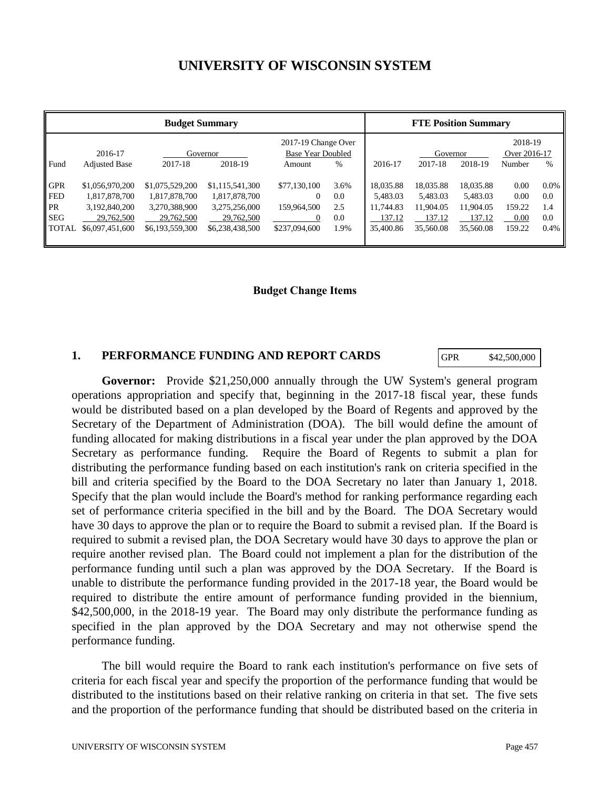# **UNIVERSITY OF WISCONSIN SYSTEM**

| <b>Budget Summary</b>                                               |                                                                                    |                                                                                    |                                                                                    |                                                                   |                                   | <b>FTE Position Summary</b>                               |                                                           |                                                           |                                          |                                      |
|---------------------------------------------------------------------|------------------------------------------------------------------------------------|------------------------------------------------------------------------------------|------------------------------------------------------------------------------------|-------------------------------------------------------------------|-----------------------------------|-----------------------------------------------------------|-----------------------------------------------------------|-----------------------------------------------------------|------------------------------------------|--------------------------------------|
| Fund                                                                | 2016-17<br><b>Adjusted Base</b>                                                    | Governor<br>2018-19<br>2017-18                                                     |                                                                                    | 2017-19 Change Over<br><b>Base Year Doubled</b><br>$\%$<br>Amount |                                   | 2016-17                                                   | Governor<br>2018-19<br>2017-18                            |                                                           | 2018-19<br>Over 2016-17<br>Number<br>%   |                                      |
| <b>GPR</b><br><b>FED</b><br><b>PR</b><br><b>SEG</b><br><b>TOTAL</b> | \$1,056,970,200<br>1,817,878,700<br>3,192,840,200<br>29,762,500<br>\$6,097,451,600 | \$1,075,529,200<br>1,817,878,700<br>3,270,388,900<br>29,762,500<br>\$6,193,559,300 | \$1,115,541,300<br>1,817,878,700<br>3,275,256,000<br>29,762,500<br>\$6,238,438,500 | \$77,130,100<br>0<br>159,964,500<br>0<br>\$237,094,600            | 3.6%<br>0.0<br>2.5<br>0.0<br>1.9% | 18.035.88<br>5.483.03<br>11.744.83<br>137.12<br>35,400.86 | 18.035.88<br>5,483.03<br>11.904.05<br>137.12<br>35,560.08 | 18,035.88<br>5.483.03<br>11,904.05<br>137.12<br>35,560.08 | 0.00<br>0.00<br>159.22<br>0.00<br>159.22 | $0.0\%$<br>0.0<br>1.4<br>0.0<br>0.4% |

#### **Budget Change Items**

#### **1. PERFORMANCE FUNDING AND REPORT CARDS**

GPR \$42,500,000

**Governor:** Provide \$21,250,000 annually through the UW System's general program operations appropriation and specify that, beginning in the 2017-18 fiscal year, these funds would be distributed based on a plan developed by the Board of Regents and approved by the Secretary of the Department of Administration (DOA). The bill would define the amount of funding allocated for making distributions in a fiscal year under the plan approved by the DOA Secretary as performance funding. Require the Board of Regents to submit a plan for distributing the performance funding based on each institution's rank on criteria specified in the bill and criteria specified by the Board to the DOA Secretary no later than January 1, 2018. Specify that the plan would include the Board's method for ranking performance regarding each set of performance criteria specified in the bill and by the Board. The DOA Secretary would have 30 days to approve the plan or to require the Board to submit a revised plan. If the Board is required to submit a revised plan, the DOA Secretary would have 30 days to approve the plan or require another revised plan. The Board could not implement a plan for the distribution of the performance funding until such a plan was approved by the DOA Secretary. If the Board is unable to distribute the performance funding provided in the 2017-18 year, the Board would be required to distribute the entire amount of performance funding provided in the biennium, \$42,500,000, in the 2018-19 year. The Board may only distribute the performance funding as specified in the plan approved by the DOA Secretary and may not otherwise spend the performance funding.

The bill would require the Board to rank each institution's performance on five sets of criteria for each fiscal year and specify the proportion of the performance funding that would be distributed to the institutions based on their relative ranking on criteria in that set. The five sets and the proportion of the performance funding that should be distributed based on the criteria in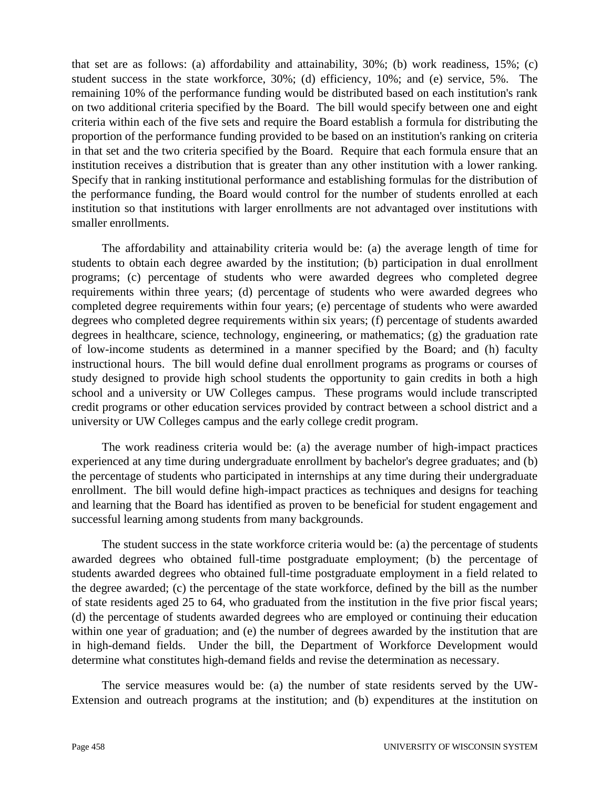that set are as follows: (a) affordability and attainability, 30%; (b) work readiness, 15%; (c) student success in the state workforce, 30%; (d) efficiency, 10%; and (e) service, 5%. The remaining 10% of the performance funding would be distributed based on each institution's rank on two additional criteria specified by the Board. The bill would specify between one and eight criteria within each of the five sets and require the Board establish a formula for distributing the proportion of the performance funding provided to be based on an institution's ranking on criteria in that set and the two criteria specified by the Board. Require that each formula ensure that an institution receives a distribution that is greater than any other institution with a lower ranking. Specify that in ranking institutional performance and establishing formulas for the distribution of the performance funding, the Board would control for the number of students enrolled at each institution so that institutions with larger enrollments are not advantaged over institutions with smaller enrollments.

The affordability and attainability criteria would be: (a) the average length of time for students to obtain each degree awarded by the institution; (b) participation in dual enrollment programs; (c) percentage of students who were awarded degrees who completed degree requirements within three years; (d) percentage of students who were awarded degrees who completed degree requirements within four years; (e) percentage of students who were awarded degrees who completed degree requirements within six years; (f) percentage of students awarded degrees in healthcare, science, technology, engineering, or mathematics; (g) the graduation rate of low-income students as determined in a manner specified by the Board; and (h) faculty instructional hours. The bill would define dual enrollment programs as programs or courses of study designed to provide high school students the opportunity to gain credits in both a high school and a university or UW Colleges campus. These programs would include transcripted credit programs or other education services provided by contract between a school district and a university or UW Colleges campus and the early college credit program.

The work readiness criteria would be: (a) the average number of high-impact practices experienced at any time during undergraduate enrollment by bachelor's degree graduates; and (b) the percentage of students who participated in internships at any time during their undergraduate enrollment. The bill would define high-impact practices as techniques and designs for teaching and learning that the Board has identified as proven to be beneficial for student engagement and successful learning among students from many backgrounds.

The student success in the state workforce criteria would be: (a) the percentage of students awarded degrees who obtained full-time postgraduate employment; (b) the percentage of students awarded degrees who obtained full-time postgraduate employment in a field related to the degree awarded; (c) the percentage of the state workforce, defined by the bill as the number of state residents aged 25 to 64, who graduated from the institution in the five prior fiscal years; (d) the percentage of students awarded degrees who are employed or continuing their education within one year of graduation; and (e) the number of degrees awarded by the institution that are in high-demand fields. Under the bill, the Department of Workforce Development would determine what constitutes high-demand fields and revise the determination as necessary.

The service measures would be: (a) the number of state residents served by the UW-Extension and outreach programs at the institution; and (b) expenditures at the institution on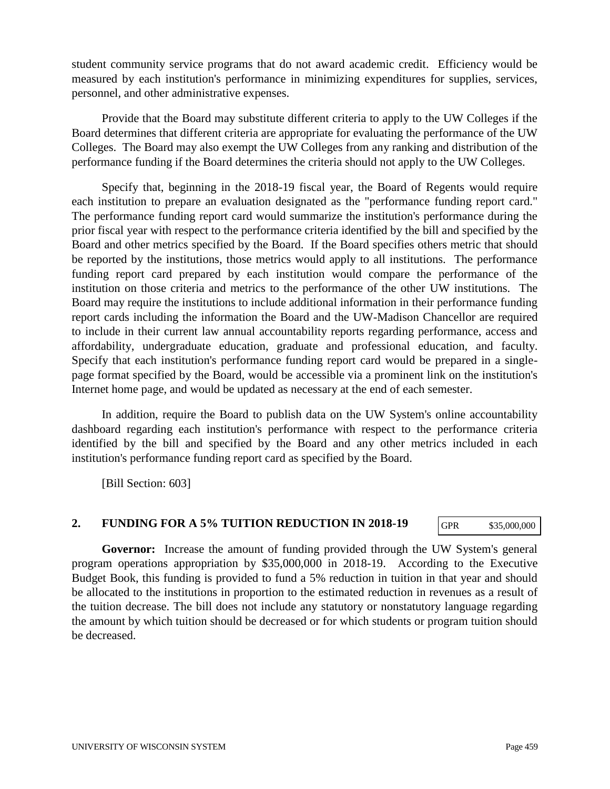student community service programs that do not award academic credit. Efficiency would be measured by each institution's performance in minimizing expenditures for supplies, services, personnel, and other administrative expenses.

Provide that the Board may substitute different criteria to apply to the UW Colleges if the Board determines that different criteria are appropriate for evaluating the performance of the UW Colleges. The Board may also exempt the UW Colleges from any ranking and distribution of the performance funding if the Board determines the criteria should not apply to the UW Colleges.

Specify that, beginning in the 2018-19 fiscal year, the Board of Regents would require each institution to prepare an evaluation designated as the "performance funding report card." The performance funding report card would summarize the institution's performance during the prior fiscal year with respect to the performance criteria identified by the bill and specified by the Board and other metrics specified by the Board. If the Board specifies others metric that should be reported by the institutions, those metrics would apply to all institutions. The performance funding report card prepared by each institution would compare the performance of the institution on those criteria and metrics to the performance of the other UW institutions. The Board may require the institutions to include additional information in their performance funding report cards including the information the Board and the UW-Madison Chancellor are required to include in their current law annual accountability reports regarding performance, access and affordability, undergraduate education, graduate and professional education, and faculty. Specify that each institution's performance funding report card would be prepared in a singlepage format specified by the Board, would be accessible via a prominent link on the institution's Internet home page, and would be updated as necessary at the end of each semester.

In addition, require the Board to publish data on the UW System's online accountability dashboard regarding each institution's performance with respect to the performance criteria identified by the bill and specified by the Board and any other metrics included in each institution's performance funding report card as specified by the Board.

[Bill Section: 603]

### **2. FUNDING FOR A 5% TUITION REDUCTION IN 2018-19**

GPR \$35,000,000

**Governor:** Increase the amount of funding provided through the UW System's general program operations appropriation by \$35,000,000 in 2018-19. According to the Executive Budget Book, this funding is provided to fund a 5% reduction in tuition in that year and should be allocated to the institutions in proportion to the estimated reduction in revenues as a result of the tuition decrease. The bill does not include any statutory or nonstatutory language regarding the amount by which tuition should be decreased or for which students or program tuition should be decreased.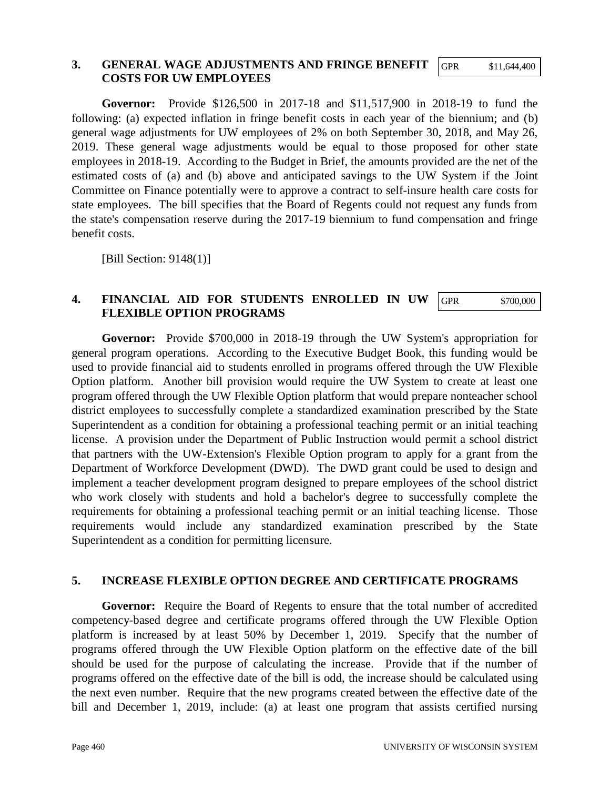#### **3. GENERAL WAGE ADJUSTMENTS AND FRINGE BENEFIT COSTS FOR UW EMPLOYEES**

GPR \$11,644,400

**Governor:** Provide \$126,500 in 2017-18 and \$11,517,900 in 2018-19 to fund the following: (a) expected inflation in fringe benefit costs in each year of the biennium; and (b) general wage adjustments for UW employees of 2% on both September 30, 2018, and May 26, 2019. These general wage adjustments would be equal to those proposed for other state employees in 2018-19. According to the Budget in Brief, the amounts provided are the net of the estimated costs of (a) and (b) above and anticipated savings to the UW System if the Joint Committee on Finance potentially were to approve a contract to self-insure health care costs for state employees. The bill specifies that the Board of Regents could not request any funds from the state's compensation reserve during the 2017-19 biennium to fund compensation and fringe benefit costs.

[Bill Section: 9148(1)]

#### **4. FINANCIAL AID FOR STUDENTS ENROLLED IN UW FLEXIBLE OPTION PROGRAMS** GPR \$700,000

**Governor:** Provide \$700,000 in 2018-19 through the UW System's appropriation for general program operations. According to the Executive Budget Book, this funding would be used to provide financial aid to students enrolled in programs offered through the UW Flexible Option platform. Another bill provision would require the UW System to create at least one program offered through the UW Flexible Option platform that would prepare nonteacher school district employees to successfully complete a standardized examination prescribed by the State Superintendent as a condition for obtaining a professional teaching permit or an initial teaching license. A provision under the Department of Public Instruction would permit a school district that partners with the UW-Extension's Flexible Option program to apply for a grant from the Department of Workforce Development (DWD). The DWD grant could be used to design and implement a teacher development program designed to prepare employees of the school district who work closely with students and hold a bachelor's degree to successfully complete the requirements for obtaining a professional teaching permit or an initial teaching license. Those requirements would include any standardized examination prescribed by the State Superintendent as a condition for permitting licensure.

### **5. INCREASE FLEXIBLE OPTION DEGREE AND CERTIFICATE PROGRAMS**

**Governor:** Require the Board of Regents to ensure that the total number of accredited competency-based degree and certificate programs offered through the UW Flexible Option platform is increased by at least 50% by December 1, 2019. Specify that the number of programs offered through the UW Flexible Option platform on the effective date of the bill should be used for the purpose of calculating the increase. Provide that if the number of programs offered on the effective date of the bill is odd, the increase should be calculated using the next even number. Require that the new programs created between the effective date of the bill and December 1, 2019, include: (a) at least one program that assists certified nursing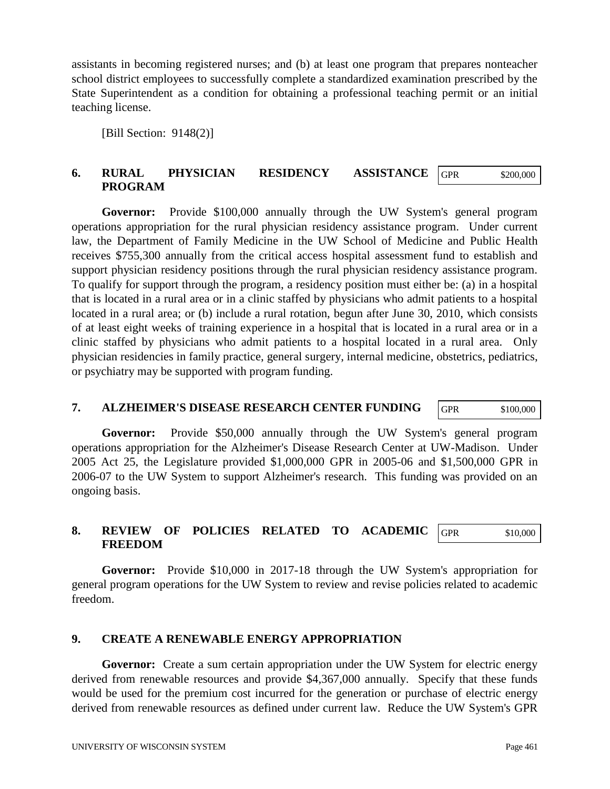assistants in becoming registered nurses; and (b) at least one program that prepares nonteacher school district employees to successfully complete a standardized examination prescribed by the State Superintendent as a condition for obtaining a professional teaching permit or an initial teaching license.

[Bill Section: 9148(2)]

#### **6. RURAL PHYSICIAN RESIDENCY ASSISTANCE PROGRAM** GPR \$200,000

**Governor:** Provide \$100,000 annually through the UW System's general program operations appropriation for the rural physician residency assistance program. Under current law, the Department of Family Medicine in the UW School of Medicine and Public Health receives \$755,300 annually from the critical access hospital assessment fund to establish and support physician residency positions through the rural physician residency assistance program. To qualify for support through the program, a residency position must either be: (a) in a hospital that is located in a rural area or in a clinic staffed by physicians who admit patients to a hospital located in a rural area; or (b) include a rural rotation, begun after June 30, 2010, which consists of at least eight weeks of training experience in a hospital that is located in a rural area or in a clinic staffed by physicians who admit patients to a hospital located in a rural area. Only physician residencies in family practice, general surgery, internal medicine, obstetrics, pediatrics, or psychiatry may be supported with program funding.

### **7. ALZHEIMER'S DISEASE RESEARCH CENTER FUNDING**

**Governor:** Provide \$50,000 annually through the UW System's general program operations appropriation for the Alzheimer's Disease Research Center at UW-Madison. Under 2005 Act 25, the Legislature provided \$1,000,000 GPR in 2005-06 and \$1,500,000 GPR in 2006-07 to the UW System to support Alzheimer's research. This funding was provided on an ongoing basis.

#### **8. REVIEW OF POLICIES RELATED TO ACADEMIC FREEDOM** GPR \$10,000

**Governor:** Provide \$10,000 in 2017-18 through the UW System's appropriation for general program operations for the UW System to review and revise policies related to academic freedom.

## **9. CREATE A RENEWABLE ENERGY APPROPRIATION**

**Governor:** Create a sum certain appropriation under the UW System for electric energy derived from renewable resources and provide \$4,367,000 annually. Specify that these funds would be used for the premium cost incurred for the generation or purchase of electric energy derived from renewable resources as defined under current law. Reduce the UW System's GPR

GPR \$100,000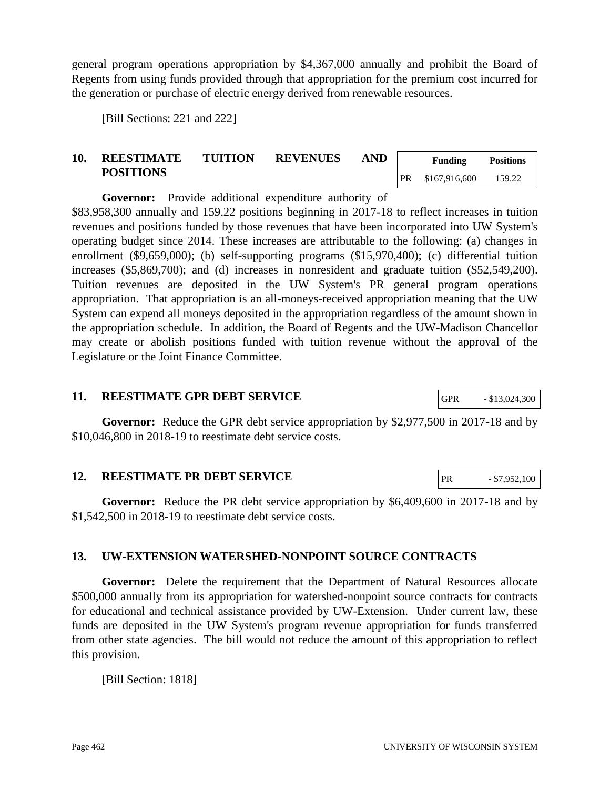general program operations appropriation by \$4,367,000 annually and prohibit the Board of Regents from using funds provided through that appropriation for the premium cost incurred for the generation or purchase of electric energy derived from renewable resources.

[Bill Sections: 221 and 222]

#### **10. REESTIMATE TUITION REVENUES AND POSITIONS Funding Positions**

**Governor:** Provide additional expenditure authority of

\$83,958,300 annually and 159.22 positions beginning in 2017-18 to reflect increases in tuition revenues and positions funded by those revenues that have been incorporated into UW System's operating budget since 2014. These increases are attributable to the following: (a) changes in enrollment (\$9,659,000); (b) self-supporting programs (\$15,970,400); (c) differential tuition increases (\$5,869,700); and (d) increases in nonresident and graduate tuition (\$52,549,200). Tuition revenues are deposited in the UW System's PR general program operations appropriation. That appropriation is an all-moneys-received appropriation meaning that the UW System can expend all moneys deposited in the appropriation regardless of the amount shown in the appropriation schedule. In addition, the Board of Regents and the UW-Madison Chancellor may create or abolish positions funded with tuition revenue without the approval of the Legislature or the Joint Finance Committee.

## **11. REESTIMATE GPR DEBT SERVICE**

**Governor:** Reduce the GPR debt service appropriation by \$2,977,500 in 2017-18 and by \$10,046,800 in 2018-19 to reestimate debt service costs.

### **12. REESTIMATE PR DEBT SERVICE**

**Governor:** Reduce the PR debt service appropriation by \$6,409,600 in 2017-18 and by \$1,542,500 in 2018-19 to reestimate debt service costs.

## **13. UW-EXTENSION WATERSHED-NONPOINT SOURCE CONTRACTS**

**Governor:** Delete the requirement that the Department of Natural Resources allocate \$500,000 annually from its appropriation for watershed-nonpoint source contracts for contracts for educational and technical assistance provided by UW-Extension. Under current law, these funds are deposited in the UW System's program revenue appropriation for funds transferred from other state agencies. The bill would not reduce the amount of this appropriation to reflect this provision.

[Bill Section: 1818]

PR \$167,916,600 159.22

PR - \$7,952,100

GPR  $-$  \$13,024,300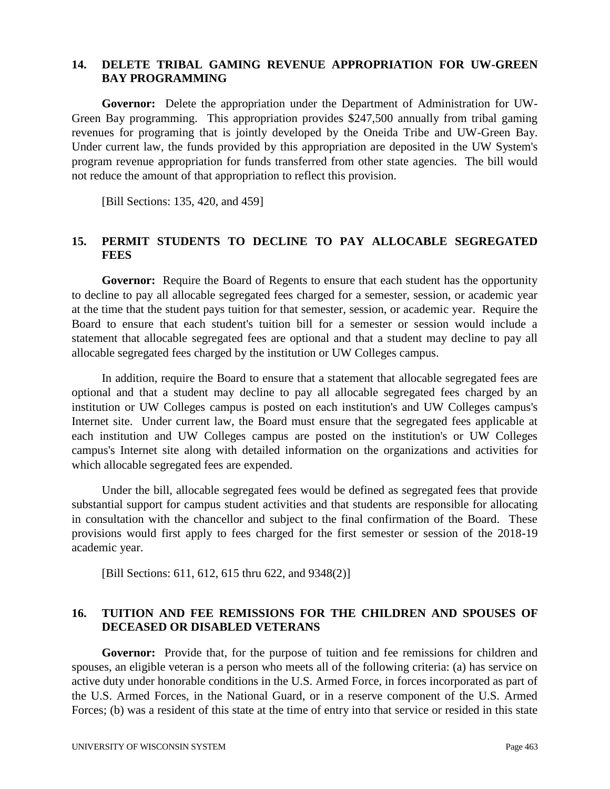#### **14. DELETE TRIBAL GAMING REVENUE APPROPRIATION FOR UW-GREEN BAY PROGRAMMING**

**Governor:** Delete the appropriation under the Department of Administration for UW-Green Bay programming. This appropriation provides \$247,500 annually from tribal gaming revenues for programing that is jointly developed by the Oneida Tribe and UW-Green Bay. Under current law, the funds provided by this appropriation are deposited in the UW System's program revenue appropriation for funds transferred from other state agencies. The bill would not reduce the amount of that appropriation to reflect this provision.

[Bill Sections: 135, 420, and 459]

## **15. PERMIT STUDENTS TO DECLINE TO PAY ALLOCABLE SEGREGATED FEES**

**Governor:** Require the Board of Regents to ensure that each student has the opportunity to decline to pay all allocable segregated fees charged for a semester, session, or academic year at the time that the student pays tuition for that semester, session, or academic year. Require the Board to ensure that each student's tuition bill for a semester or session would include a statement that allocable segregated fees are optional and that a student may decline to pay all allocable segregated fees charged by the institution or UW Colleges campus.

In addition, require the Board to ensure that a statement that allocable segregated fees are optional and that a student may decline to pay all allocable segregated fees charged by an institution or UW Colleges campus is posted on each institution's and UW Colleges campus's Internet site. Under current law, the Board must ensure that the segregated fees applicable at each institution and UW Colleges campus are posted on the institution's or UW Colleges campus's Internet site along with detailed information on the organizations and activities for which allocable segregated fees are expended.

Under the bill, allocable segregated fees would be defined as segregated fees that provide substantial support for campus student activities and that students are responsible for allocating in consultation with the chancellor and subject to the final confirmation of the Board. These provisions would first apply to fees charged for the first semester or session of the 2018-19 academic year.

[Bill Sections: 611, 612, 615 thru 622, and 9348(2)]

## **16. TUITION AND FEE REMISSIONS FOR THE CHILDREN AND SPOUSES OF DECEASED OR DISABLED VETERANS**

**Governor:** Provide that, for the purpose of tuition and fee remissions for children and spouses, an eligible veteran is a person who meets all of the following criteria: (a) has service on active duty under honorable conditions in the U.S. Armed Force, in forces incorporated as part of the U.S. Armed Forces, in the National Guard, or in a reserve component of the U.S. Armed Forces; (b) was a resident of this state at the time of entry into that service or resided in this state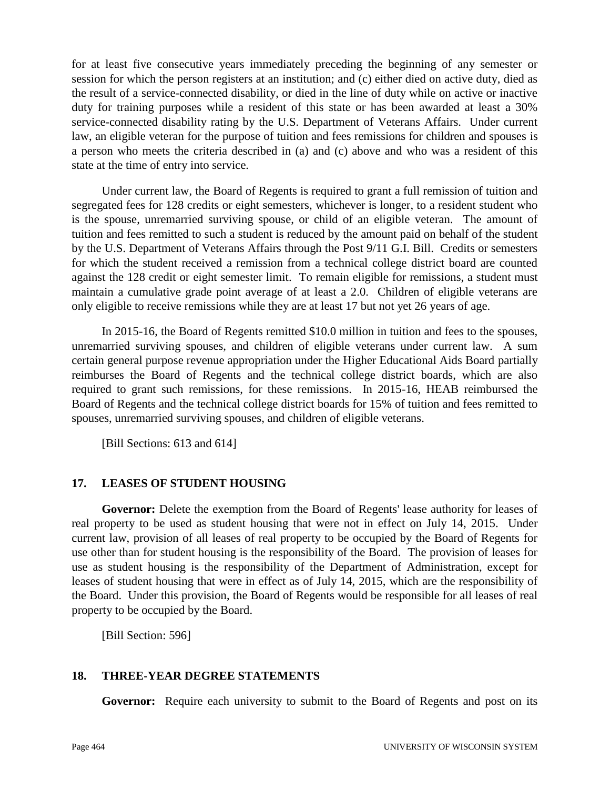for at least five consecutive years immediately preceding the beginning of any semester or session for which the person registers at an institution; and (c) either died on active duty, died as the result of a service-connected disability, or died in the line of duty while on active or inactive duty for training purposes while a resident of this state or has been awarded at least a 30% service-connected disability rating by the U.S. Department of Veterans Affairs. Under current law, an eligible veteran for the purpose of tuition and fees remissions for children and spouses is a person who meets the criteria described in (a) and (c) above and who was a resident of this state at the time of entry into service.

Under current law, the Board of Regents is required to grant a full remission of tuition and segregated fees for 128 credits or eight semesters, whichever is longer, to a resident student who is the spouse, unremarried surviving spouse, or child of an eligible veteran. The amount of tuition and fees remitted to such a student is reduced by the amount paid on behalf of the student by the U.S. Department of Veterans Affairs through the Post 9/11 G.I. Bill. Credits or semesters for which the student received a remission from a technical college district board are counted against the 128 credit or eight semester limit. To remain eligible for remissions, a student must maintain a cumulative grade point average of at least a 2.0. Children of eligible veterans are only eligible to receive remissions while they are at least 17 but not yet 26 years of age.

In 2015-16, the Board of Regents remitted \$10.0 million in tuition and fees to the spouses, unremarried surviving spouses, and children of eligible veterans under current law. A sum certain general purpose revenue appropriation under the Higher Educational Aids Board partially reimburses the Board of Regents and the technical college district boards, which are also required to grant such remissions, for these remissions. In 2015-16, HEAB reimbursed the Board of Regents and the technical college district boards for 15% of tuition and fees remitted to spouses, unremarried surviving spouses, and children of eligible veterans.

[Bill Sections: 613 and 614]

## **17. LEASES OF STUDENT HOUSING**

**Governor:** Delete the exemption from the Board of Regents' lease authority for leases of real property to be used as student housing that were not in effect on July 14, 2015. Under current law, provision of all leases of real property to be occupied by the Board of Regents for use other than for student housing is the responsibility of the Board. The provision of leases for use as student housing is the responsibility of the Department of Administration, except for leases of student housing that were in effect as of July 14, 2015, which are the responsibility of the Board. Under this provision, the Board of Regents would be responsible for all leases of real property to be occupied by the Board.

[Bill Section: 596]

# **18. THREE-YEAR DEGREE STATEMENTS**

**Governor:** Require each university to submit to the Board of Regents and post on its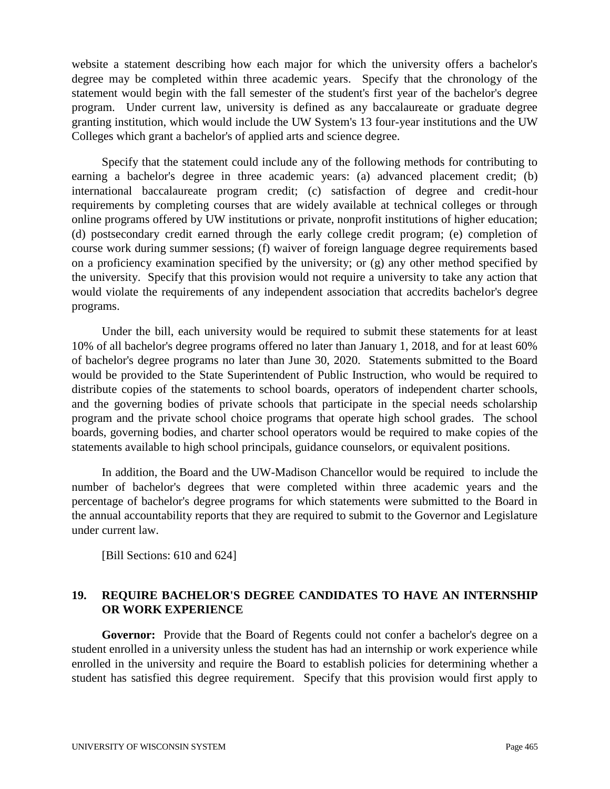website a statement describing how each major for which the university offers a bachelor's degree may be completed within three academic years. Specify that the chronology of the statement would begin with the fall semester of the student's first year of the bachelor's degree program. Under current law, university is defined as any baccalaureate or graduate degree granting institution, which would include the UW System's 13 four-year institutions and the UW Colleges which grant a bachelor's of applied arts and science degree.

Specify that the statement could include any of the following methods for contributing to earning a bachelor's degree in three academic years: (a) advanced placement credit; (b) international baccalaureate program credit; (c) satisfaction of degree and credit-hour requirements by completing courses that are widely available at technical colleges or through online programs offered by UW institutions or private, nonprofit institutions of higher education; (d) postsecondary credit earned through the early college credit program; (e) completion of course work during summer sessions; (f) waiver of foreign language degree requirements based on a proficiency examination specified by the university; or (g) any other method specified by the university. Specify that this provision would not require a university to take any action that would violate the requirements of any independent association that accredits bachelor's degree programs.

 Under the bill, each university would be required to submit these statements for at least 10% of all bachelor's degree programs offered no later than January 1, 2018, and for at least 60% of bachelor's degree programs no later than June 30, 2020. Statements submitted to the Board would be provided to the State Superintendent of Public Instruction, who would be required to distribute copies of the statements to school boards, operators of independent charter schools, and the governing bodies of private schools that participate in the special needs scholarship program and the private school choice programs that operate high school grades. The school boards, governing bodies, and charter school operators would be required to make copies of the statements available to high school principals, guidance counselors, or equivalent positions.

In addition, the Board and the UW-Madison Chancellor would be required to include the number of bachelor's degrees that were completed within three academic years and the percentage of bachelor's degree programs for which statements were submitted to the Board in the annual accountability reports that they are required to submit to the Governor and Legislature under current law.

[Bill Sections: 610 and 624]

## **19. REQUIRE BACHELOR'S DEGREE CANDIDATES TO HAVE AN INTERNSHIP OR WORK EXPERIENCE**

Governor: Provide that the Board of Regents could not confer a bachelor's degree on a student enrolled in a university unless the student has had an internship or work experience while enrolled in the university and require the Board to establish policies for determining whether a student has satisfied this degree requirement. Specify that this provision would first apply to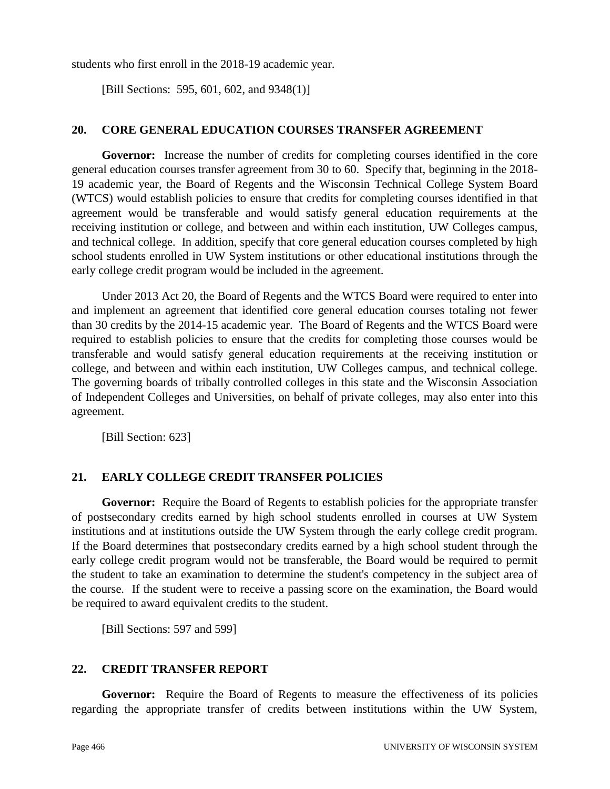students who first enroll in the 2018-19 academic year.

[Bill Sections: 595, 601, 602, and 9348(1)]

### **20. CORE GENERAL EDUCATION COURSES TRANSFER AGREEMENT**

**Governor:** Increase the number of credits for completing courses identified in the core general education courses transfer agreement from 30 to 60. Specify that, beginning in the 2018- 19 academic year, the Board of Regents and the Wisconsin Technical College System Board (WTCS) would establish policies to ensure that credits for completing courses identified in that agreement would be transferable and would satisfy general education requirements at the receiving institution or college, and between and within each institution, UW Colleges campus, and technical college. In addition, specify that core general education courses completed by high school students enrolled in UW System institutions or other educational institutions through the early college credit program would be included in the agreement.

Under 2013 Act 20, the Board of Regents and the WTCS Board were required to enter into and implement an agreement that identified core general education courses totaling not fewer than 30 credits by the 2014-15 academic year. The Board of Regents and the WTCS Board were required to establish policies to ensure that the credits for completing those courses would be transferable and would satisfy general education requirements at the receiving institution or college, and between and within each institution, UW Colleges campus, and technical college. The governing boards of tribally controlled colleges in this state and the Wisconsin Association of Independent Colleges and Universities, on behalf of private colleges, may also enter into this agreement.

[Bill Section: 623]

## **21. EARLY COLLEGE CREDIT TRANSFER POLICIES**

**Governor:** Require the Board of Regents to establish policies for the appropriate transfer of postsecondary credits earned by high school students enrolled in courses at UW System institutions and at institutions outside the UW System through the early college credit program. If the Board determines that postsecondary credits earned by a high school student through the early college credit program would not be transferable, the Board would be required to permit the student to take an examination to determine the student's competency in the subject area of the course. If the student were to receive a passing score on the examination, the Board would be required to award equivalent credits to the student.

[Bill Sections: 597 and 599]

### **22. CREDIT TRANSFER REPORT**

**Governor:** Require the Board of Regents to measure the effectiveness of its policies regarding the appropriate transfer of credits between institutions within the UW System,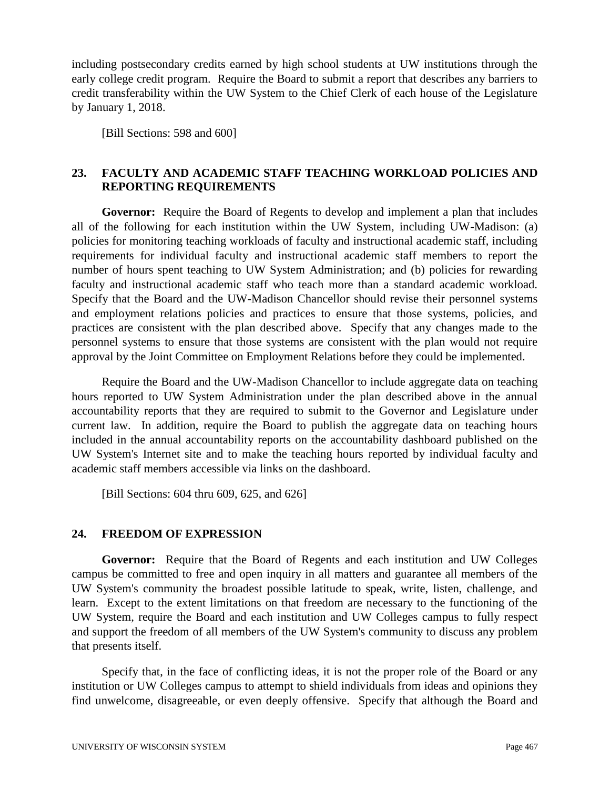including postsecondary credits earned by high school students at UW institutions through the early college credit program. Require the Board to submit a report that describes any barriers to credit transferability within the UW System to the Chief Clerk of each house of the Legislature by January 1, 2018.

[Bill Sections: 598 and 600]

## **23. FACULTY AND ACADEMIC STAFF TEACHING WORKLOAD POLICIES AND REPORTING REQUIREMENTS**

**Governor:** Require the Board of Regents to develop and implement a plan that includes all of the following for each institution within the UW System, including UW-Madison: (a) policies for monitoring teaching workloads of faculty and instructional academic staff, including requirements for individual faculty and instructional academic staff members to report the number of hours spent teaching to UW System Administration; and (b) policies for rewarding faculty and instructional academic staff who teach more than a standard academic workload. Specify that the Board and the UW-Madison Chancellor should revise their personnel systems and employment relations policies and practices to ensure that those systems, policies, and practices are consistent with the plan described above. Specify that any changes made to the personnel systems to ensure that those systems are consistent with the plan would not require approval by the Joint Committee on Employment Relations before they could be implemented.

Require the Board and the UW-Madison Chancellor to include aggregate data on teaching hours reported to UW System Administration under the plan described above in the annual accountability reports that they are required to submit to the Governor and Legislature under current law. In addition, require the Board to publish the aggregate data on teaching hours included in the annual accountability reports on the accountability dashboard published on the UW System's Internet site and to make the teaching hours reported by individual faculty and academic staff members accessible via links on the dashboard.

[Bill Sections: 604 thru 609, 625, and 626]

## **24. FREEDOM OF EXPRESSION**

**Governor:** Require that the Board of Regents and each institution and UW Colleges campus be committed to free and open inquiry in all matters and guarantee all members of the UW System's community the broadest possible latitude to speak, write, listen, challenge, and learn. Except to the extent limitations on that freedom are necessary to the functioning of the UW System, require the Board and each institution and UW Colleges campus to fully respect and support the freedom of all members of the UW System's community to discuss any problem that presents itself.

Specify that, in the face of conflicting ideas, it is not the proper role of the Board or any institution or UW Colleges campus to attempt to shield individuals from ideas and opinions they find unwelcome, disagreeable, or even deeply offensive. Specify that although the Board and